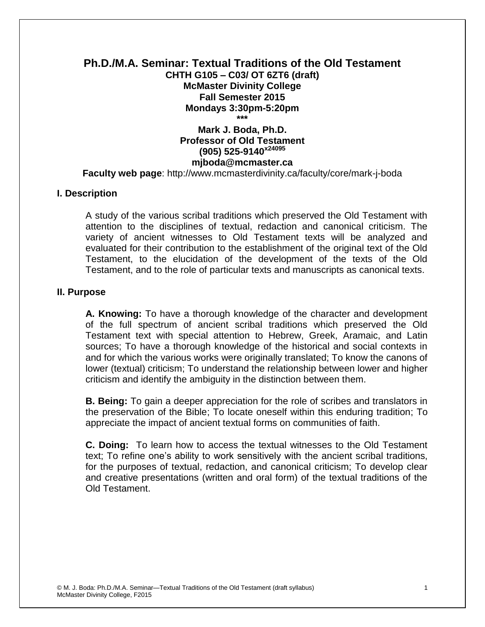## **Ph.D./M.A. Seminar: Textual Traditions of the Old Testament CHTH G105 – C03/ OT 6ZT6 (draft) McMaster Divinity College Fall Semester 2015 Mondays 3:30pm-5:20pm \*\*\***

# **Mark J. Boda, Ph.D. Professor of Old Testament (905) 525-9140x24095 mjboda@mcmaster.ca**

**Faculty web page**: http://www.mcmasterdivinity.ca/faculty/core/mark-j-boda

#### **I. Description**

A study of the various scribal traditions which preserved the Old Testament with attention to the disciplines of textual, redaction and canonical criticism. The variety of ancient witnesses to Old Testament texts will be analyzed and evaluated for their contribution to the establishment of the original text of the Old Testament, to the elucidation of the development of the texts of the Old Testament, and to the role of particular texts and manuscripts as canonical texts.

### **II. Purpose**

**A. Knowing:** To have a thorough knowledge of the character and development of the full spectrum of ancient scribal traditions which preserved the Old Testament text with special attention to Hebrew, Greek, Aramaic, and Latin sources; To have a thorough knowledge of the historical and social contexts in and for which the various works were originally translated; To know the canons of lower (textual) criticism; To understand the relationship between lower and higher criticism and identify the ambiguity in the distinction between them.

**B. Being:** To gain a deeper appreciation for the role of scribes and translators in the preservation of the Bible; To locate oneself within this enduring tradition; To appreciate the impact of ancient textual forms on communities of faith.

**C. Doing:** To learn how to access the textual witnesses to the Old Testament text; To refine one's ability to work sensitively with the ancient scribal traditions, for the purposes of textual, redaction, and canonical criticism; To develop clear and creative presentations (written and oral form) of the textual traditions of the Old Testament.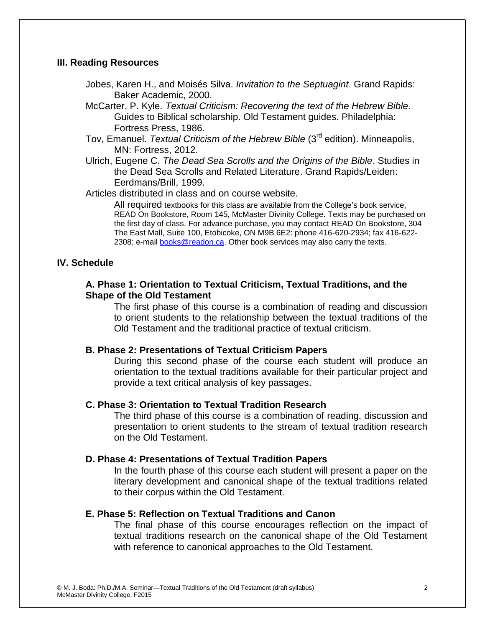### **III. Reading Resources**

- Jobes, Karen H., and Moisés Silva. *Invitation to the Septuagint*. Grand Rapids: Baker Academic, 2000.
- McCarter, P. Kyle. *Textual Criticism: Recovering the text of the Hebrew Bible*. Guides to Biblical scholarship. Old Testament guides. Philadelphia: Fortress Press, 1986.
- Tov, Emanuel. *Textual Criticism of the Hebrew Bible* (3<sup>rd</sup> edition). Minneapolis, MN: Fortress, 2012.
- Ulrich, Eugene C. *The Dead Sea Scrolls and the Origins of the Bible*. Studies in the Dead Sea Scrolls and Related Literature. Grand Rapids/Leiden: Eerdmans/Brill, 1999.

Articles distributed in class and on course website.

All required textbooks for this class are available from the College's book service, READ On Bookstore, Room 145, McMaster Divinity College. Texts may be purchased on the first day of class. For advance purchase, you may contact READ On Bookstore, 304 The East Mall, Suite 100, Etobicoke, ON M9B 6E2: phone 416-620-2934; fax 416-622 2308; e-mail [books@readon.ca.](mailto:books@readon.ca) Other book services may also carry the texts.

## **IV. Schedule**

### **A. Phase 1: Orientation to Textual Criticism, Textual Traditions, and the Shape of the Old Testament**

The first phase of this course is a combination of reading and discussion to orient students to the relationship between the textual traditions of the Old Testament and the traditional practice of textual criticism.

### **B. Phase 2: Presentations of Textual Criticism Papers**

During this second phase of the course each student will produce an orientation to the textual traditions available for their particular project and provide a text critical analysis of key passages.

### **C. Phase 3: Orientation to Textual Tradition Research**

The third phase of this course is a combination of reading, discussion and presentation to orient students to the stream of textual tradition research on the Old Testament.

### **D. Phase 4: Presentations of Textual Tradition Papers**

In the fourth phase of this course each student will present a paper on the literary development and canonical shape of the textual traditions related to their corpus within the Old Testament.

## **E. Phase 5: Reflection on Textual Traditions and Canon**

The final phase of this course encourages reflection on the impact of textual traditions research on the canonical shape of the Old Testament with reference to canonical approaches to the Old Testament.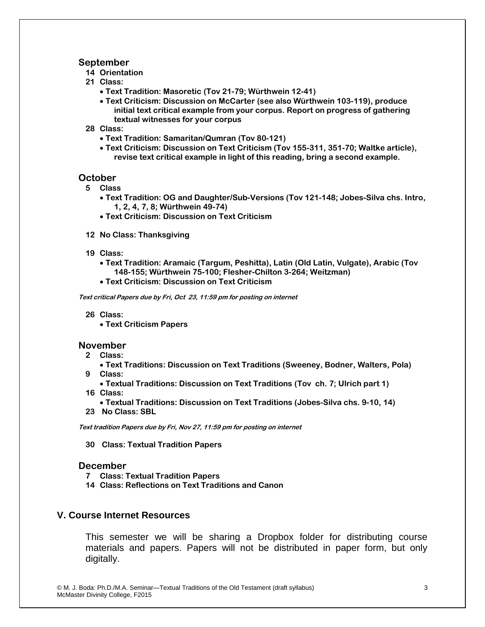#### **September**

- **14 Orientation**
- **21 Class:** 
	- **Text Tradition: Masoretic (Tov 21-79; Würthwein 12-41)**
	- **Text Criticism: Discussion on McCarter (see also Würthwein 103-119), produce initial text critical example from your corpus. Report on progress of gathering textual witnesses for your corpus**
- **28 Class:** 
	- **Text Tradition: Samaritan/Qumran (Tov 80-121)**
	- **Text Criticism: Discussion on Text Criticism (Tov 155-311, 351-70; Waltke article), revise text critical example in light of this reading, bring a second example.**

#### **October**

- **5 Class**
	- **Text Tradition: OG and Daughter/Sub-Versions (Tov 121-148; Jobes-Silva chs. Intro, 1, 2, 4, 7, 8; Würthwein 49-74)**
	- **Text Criticism: Discussion on Text Criticism**
- **12 No Class: Thanksgiving**
- **19 Class:** 
	- **Text Tradition: Aramaic (Targum, Peshitta), Latin (Old Latin, Vulgate), Arabic (Tov 148-155; Würthwein 75-100; Flesher-Chilton 3-264; Weitzman)**
	- **Text Criticism: Discussion on Text Criticism**

**Text critical Papers due by Fri, Oct 23, 11:59 pm for posting on internet**

- **26 Class:** 
	- **Text Criticism Papers**

#### **November**

- **2 Class:**
- **Text Traditions: Discussion on Text Traditions (Sweeney, Bodner, Walters, Pola) 9 Class:** 
	- **Textual Traditions: Discussion on Text Traditions (Tov ch. 7; Ulrich part 1)**
- **16 Class:**
- **Textual Traditions: Discussion on Text Traditions (Jobes-Silva chs. 9-10, 14)**
- **23 No Class: SBL**

**Text tradition Papers due by Fri, Nov 27, 11:59 pm for posting on internet**

**30 Class: Textual Tradition Papers**

#### **December**

- **7 Class: Textual Tradition Papers**
- **14 Class: Reflections on Text Traditions and Canon**

#### **V. Course Internet Resources**

This semester we will be sharing a Dropbox folder for distributing course materials and papers. Papers will not be distributed in paper form, but only digitally.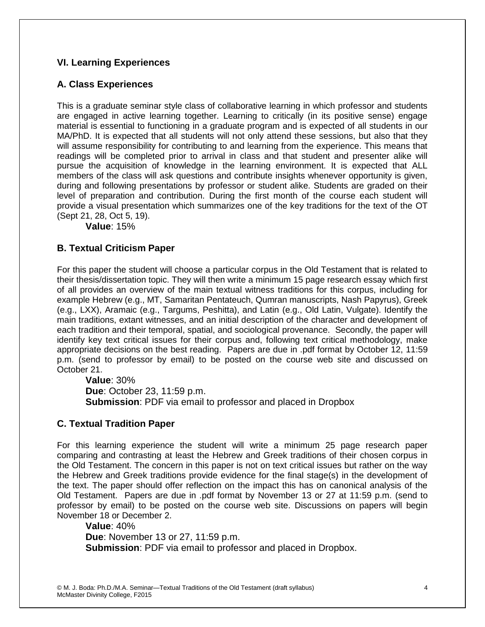## **VI. Learning Experiences**

## **A. Class Experiences**

This is a graduate seminar style class of collaborative learning in which professor and students are engaged in active learning together. Learning to critically (in its positive sense) engage material is essential to functioning in a graduate program and is expected of all students in our MA/PhD. It is expected that all students will not only attend these sessions, but also that they will assume responsibility for contributing to and learning from the experience. This means that readings will be completed prior to arrival in class and that student and presenter alike will pursue the acquisition of knowledge in the learning environment. It is expected that ALL members of the class will ask questions and contribute insights whenever opportunity is given, during and following presentations by professor or student alike. Students are graded on their level of preparation and contribution. During the first month of the course each student will provide a visual presentation which summarizes one of the key traditions for the text of the OT (Sept 21, 28, Oct 5, 19).

**Value**: 15%

## **B. Textual Criticism Paper**

For this paper the student will choose a particular corpus in the Old Testament that is related to their thesis/dissertation topic. They will then write a minimum 15 page research essay which first of all provides an overview of the main textual witness traditions for this corpus, including for example Hebrew (e.g., MT, Samaritan Pentateuch, Qumran manuscripts, Nash Papyrus), Greek (e.g., LXX), Aramaic (e.g., Targums, Peshitta), and Latin (e.g., Old Latin, Vulgate). Identify the main traditions, extant witnesses, and an initial description of the character and development of each tradition and their temporal, spatial, and sociological provenance. Secondly, the paper will identify key text critical issues for their corpus and, following text critical methodology, make appropriate decisions on the best reading. Papers are due in .pdf format by October 12, 11:59 p.m. (send to professor by email) to be posted on the course web site and discussed on October 21.

**Value**: 30% **Due**: October 23, 11:59 p.m. **Submission**: PDF via email to professor and placed in Dropbox

## **C. Textual Tradition Paper**

For this learning experience the student will write a minimum 25 page research paper comparing and contrasting at least the Hebrew and Greek traditions of their chosen corpus in the Old Testament. The concern in this paper is not on text critical issues but rather on the way the Hebrew and Greek traditions provide evidence for the final stage(s) in the development of the text. The paper should offer reflection on the impact this has on canonical analysis of the Old Testament. Papers are due in .pdf format by November 13 or 27 at 11:59 p.m. (send to professor by email) to be posted on the course web site. Discussions on papers will begin November 18 or December 2.

**Value**: 40% **Due**: November 13 or 27, 11:59 p.m. **Submission**: PDF via email to professor and placed in Dropbox.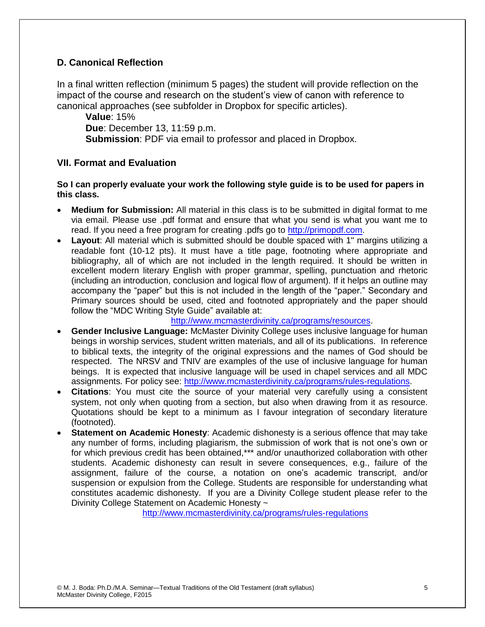## **D. Canonical Reflection**

In a final written reflection (minimum 5 pages) the student will provide reflection on the impact of the course and research on the student's view of canon with reference to canonical approaches (see subfolder in Dropbox for specific articles).

**Value**: 15% **Due**: December 13, 11:59 p.m. **Submission**: PDF via email to professor and placed in Dropbox.

## **VII. Format and Evaluation**

### **So I can properly evaluate your work the following style guide is to be used for papers in this class.**

- **Medium for Submission:** All material in this class is to be submitted in digital format to me via email. Please use .pdf format and ensure that what you send is what you want me to read. If you need a free program for creating .pdfs go to [http://primopdf.com.](http://primopdf.com/)
- **Layout**: All material which is submitted should be double spaced with 1" margins utilizing a readable font (10-12 pts). It must have a title page, footnoting where appropriate and bibliography, all of which are not included in the length required. It should be written in excellent modern literary English with proper grammar, spelling, punctuation and rhetoric (including an introduction, conclusion and logical flow of argument). If it helps an outline may accompany the "paper" but this is not included in the length of the "paper." Secondary and Primary sources should be used, cited and footnoted appropriately and the paper should follow the "MDC Writing Style Guide" available at:

[http://www.mcmasterdivinity.ca/programs/resources.](http://www.mcmasterdivinity.ca/programs/resources)

- **Gender Inclusive Language:** McMaster Divinity College uses inclusive language for human beings in worship services, student written materials, and all of its publications. In reference to biblical texts, the integrity of the original expressions and the names of God should be respected. The NRSV and TNIV are examples of the use of inclusive language for human beings. It is expected that inclusive language will be used in chapel services and all MDC assignments. For policy see: [http://www.mcmasterdivinity.ca/programs/rules-regulations.](http://www.mcmasterdivinity.ca/programs/rules-regulations)
- **Citations**: You must cite the source of your material very carefully using a consistent system, not only when quoting from a section, but also when drawing from it as resource. Quotations should be kept to a minimum as I favour integration of secondary literature (footnoted).
- **Statement on Academic Honesty**: Academic dishonesty is a serious offence that may take any number of forms, including plagiarism, the submission of work that is not one's own or for which previous credit has been obtained,\*\*\* and/or unauthorized collaboration with other students. Academic dishonesty can result in severe consequences, e.g., failure of the assignment, failure of the course, a notation on one's academic transcript, and/or suspension or expulsion from the College. Students are responsible for understanding what constitutes academic dishonesty. If you are a Divinity College student please refer to the Divinity College Statement on Academic Honesty ~

<http://www.mcmasterdivinity.ca/programs/rules-regulations>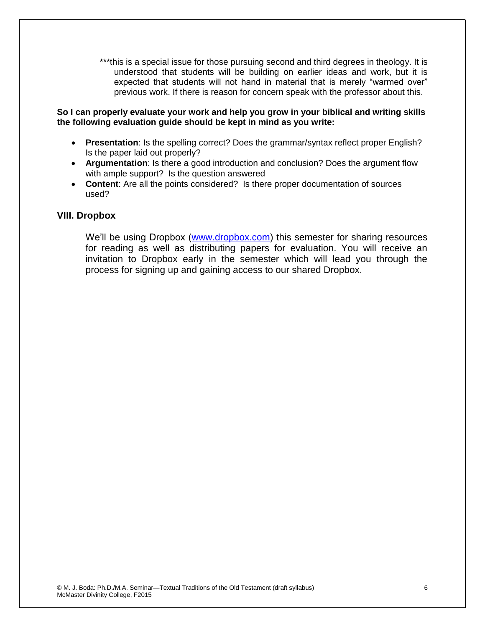\*\*\*this is a special issue for those pursuing second and third degrees in theology. It is understood that students will be building on earlier ideas and work, but it is expected that students will not hand in material that is merely "warmed over" previous work. If there is reason for concern speak with the professor about this.

#### **So I can properly evaluate your work and help you grow in your biblical and writing skills the following evaluation guide should be kept in mind as you write:**

- **Presentation**: Is the spelling correct? Does the grammar/syntax reflect proper English? Is the paper laid out properly?
- **Argumentation**: Is there a good introduction and conclusion? Does the argument flow with ample support? Is the question answered
- **Content**: Are all the points considered? Is there proper documentation of sources used?

### **VIII. Dropbox**

We'll be using Dropbox [\(www.dropbox.com\)](http://www.dropbox.com/) this semester for sharing resources for reading as well as distributing papers for evaluation. You will receive an invitation to Dropbox early in the semester which will lead you through the process for signing up and gaining access to our shared Dropbox.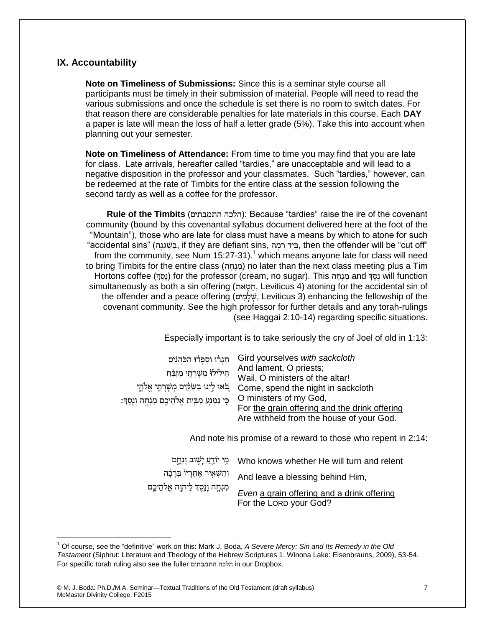### **IX. Accountability**

 $\overline{a}$ 

**Note on Timeliness of Submissions:** Since this is a seminar style course all participants must be timely in their submission of material. People will need to read the various submissions and once the schedule is set there is no room to switch dates. For that reason there are considerable penalties for late materials in this course. Each **DAY** a paper is late will mean the loss of half a letter grade (5%). Take this into account when planning out your semester.

**Note on Timeliness of Attendance:** From time to time you may find that you are late for class. Late arrivals, hereafter called "tardies," are unacceptable and will lead to a negative disposition in the professor and your classmates. Such "tardies," however, can be redeemed at the rate of Timbits for the entire class at the session following the second tardy as well as a coffee for the professor.

**Rule of the Timbits** (התמבתים הלכה(: Because "tardies" raise the ire of the covenant community (bound by this covenantal syllabus document delivered here at the foot of the "Mountain"), those who are late for class must have a means by which to atone for such "accidental sins" (ה ָג ָג ְׁש ִב, if they are defiant sins, ה ָמ ָר דָי ְׁב, then the offender will be "cut off" from the community, see Num  $15:27-31$ .<sup>1</sup> which means anyone late for class will need to bring Timbits for the entire class (מְנָחַה) no later than the next class meeting plus a Tim Hortons coffee (נָסֶד) for the professor (cream, no sugar). This הוחה and נשד will function simultaneously as both a sin offering (הָטָאת, Leviticus 4) atoning for the accidental sin of the offender and a peace offering (שֵׁלָמִים, Leviticus 3) enhancing the fellowship of the covenant community. See the high professor for further details and any torah-rulings (see Haggai 2:10-14) regarding specific situations.

Especially important is to take seriously the cry of Joel of old in 1:13:

| חגרו וספדו הכהנים                                   | Gird yourselves with sackcloth                |
|-----------------------------------------------------|-----------------------------------------------|
|                                                     | And lament, O priests;                        |
| הֵילִיּׁלוֹּ מְשָׁרְתֵי מִזְבֵּׁחַ                  | Wail, O ministers of the altar!               |
| באוּ לִינוּ בַשַּׂקִים מִשָּׁרְתֵי אֱלֹהֵי          | Come, spend the night in sackcloth            |
| ּבִּי נִמְנַע מִבִּית אֱלֹהֵיכֶם מִנְחֶה וְנֵסֶדִּ: | O ministers of my God,                        |
|                                                     | For the grain offering and the drink offering |
|                                                     | Are withheld from the house of your God.      |

And note his promise of a reward to those who repent in 2:14:

|                                      | פִי יוֹדֵעַ יָשְׁוּב וְנָחֶם Who knows whether He will turn and relent |
|--------------------------------------|------------------------------------------------------------------------|
| וְהִשְׁאֶיר אַחֲרָיוֹ בְּרָבָה       | And leave a blessing behind Him,                                       |
| ִמְנְחָה וָנֶסֶדְ לַיהוֶה אֱלֹהֵיכֶם | Even a grain offering and a drink offering<br>For the LORD your God?   |

<sup>1</sup> Of course, see the "definitive" work on this: Mark J. Boda, *A Severe Mercy: Sin and Its Remedy in the Old Testament* (Siphrut: Literature and Theology of the Hebrew Scriptures 1. Winona Lake: Eisenbrauns, 2009), 53-54. For specific torah ruling also see the fuller התמבתים הלכה in our Dropbox.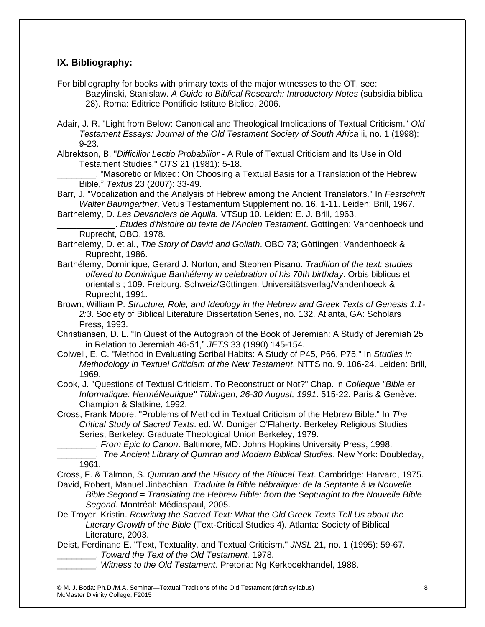## **IX. Bibliography:**

For bibliography for books with primary texts of the major witnesses to the OT, see: Bazylinski, Stanislaw. *A Guide to Biblical Research: Introductory Notes* (subsidia biblica 28). Roma: Editrice Pontificio Istituto Biblico, 2006.

- Adair, J. R. "Light from Below: Canonical and Theological Implications of Textual Criticism." *Old Testament Essays: Journal of the Old Testament Society of South Africa* ii, no. 1 (1998): 9-23.
- Albrektson, B. "*Difficilior Lectio Probabilior* A Rule of Textual Criticism and Its Use in Old Testament Studies." *OTS* 21 (1981): 5-18.

\_\_\_\_\_\_\_\_. "Masoretic or Mixed: On Choosing a Textual Basis for a Translation of the Hebrew Bible," *Textus* 23 (2007): 33-49.

Barr, J. "Vocalization and the Analysis of Hebrew among the Ancient Translators." In *Festschrift Walter Baumgartner*. Vetus Testamentum Supplement no. 16, 1-11. Leiden: Brill, 1967.

Barthelemy, D. *Les Devanciers de Aquila.* VTSup 10. Leiden: E. J. Brill, 1963.

\_\_\_\_\_\_\_\_\_\_\_\_. *Etudes d'histoire du texte de l'Ancien Testament*. Gottingen: Vandenhoeck und Ruprecht, OBO, 1978.

- Barthelemy, D. et al., *The Story of David and Goliath*. OBO 73; Göttingen: Vandenhoeck & Ruprecht, 1986.
- Barthélemy, Dominique, Gerard J. Norton, and Stephen Pisano. *Tradition of the text: studies offered to Dominique Barthélemy in celebration of his 70th birthday*. Orbis biblicus et orientalis ; 109. Freiburg, Schweiz/Göttingen: Universitätsverlag/Vandenhoeck & Ruprecht, 1991.
- Brown, William P. *Structure, Role, and Ideology in the Hebrew and Greek Texts of Genesis 1:1- 2:3*. Society of Biblical Literature Dissertation Series, no. 132. Atlanta, GA: Scholars Press, 1993.
- Christiansen, D. L. "In Quest of the Autograph of the Book of Jeremiah: A Study of Jeremiah 25 in Relation to Jeremiah 46-51," *JETS* 33 (1990) 145-154.
- Colwell, E. C. "Method in Evaluating Scribal Habits: A Study of P45, P66, P75." In *Studies in Methodology in Textual Criticism of the New Testament*. NTTS no. 9. 106-24. Leiden: Brill, 1969.
- Cook, J. "Questions of Textual Criticism. To Reconstruct or Not?" Chap. in *Colleque "Bible et Informatique: HerméNeutique" Tübingen, 26-30 August, 1991*. 515-22. Paris & Genève: Champion & Slatkine, 1992.
- Cross, Frank Moore. "Problems of Method in Textual Criticism of the Hebrew Bible." In *The Critical Study of Sacred Texts*. ed. W. Doniger O'Flaherty. Berkeley Religious Studies Series, Berkeley: Graduate Theological Union Berkeley, 1979.

\_\_\_\_\_\_\_\_. *From Epic to Canon*. Baltimore, MD: Johns Hopkins University Press, 1998.

- \_\_\_\_\_\_\_\_. *The Ancient Library of Qumran and Modern Biblical Studies*. New York: Doubleday, 1961.
- Cross, F. & Talmon, S. *Qumran and the History of the Biblical Text*. Cambridge: Harvard, 1975.
- David, Robert, Manuel Jinbachian. *Traduire la Bible hébraïque: de la Septante à la Nouvelle Bible Segond = Translating the Hebrew Bible: from the Septuagint to the Nouvelle Bible Segond*. Montréal: Médiaspaul, 2005.
- De Troyer, Kristin. *Rewriting the Sacred Text: What the Old Greek Texts Tell Us about the Literary Growth of the Bible* (Text-Critical Studies 4). Atlanta: Society of Biblical Literature, 2003.
- Deist, Ferdinand E. "Text, Textuality, and Textual Criticism." *JNSL* 21, no. 1 (1995): 59-67. \_\_\_\_\_\_\_\_. *Toward the Text of the Old Testament.* 1978.
	- \_\_\_\_\_\_\_\_. *Witness to the Old Testament*. Pretoria: Ng Kerkboekhandel, 1988.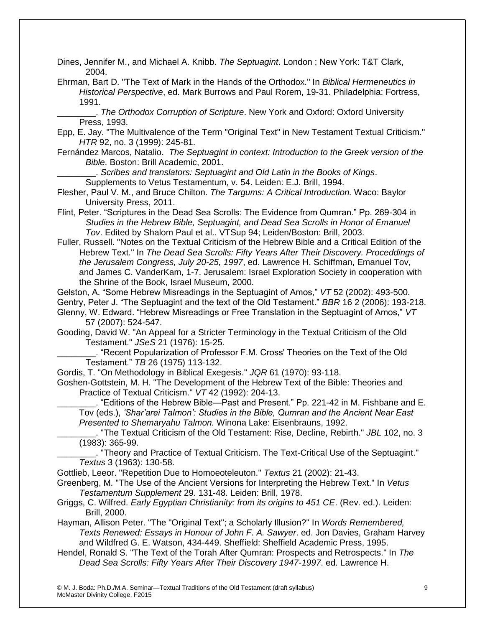Dines, Jennifer M., and Michael A. Knibb. *The Septuagint*. London ; New York: T&T Clark, 2004.

Ehrman, Bart D. "The Text of Mark in the Hands of the Orthodox." In *Biblical Hermeneutics in Historical Perspective*, ed. Mark Burrows and Paul Rorem, 19-31. Philadelphia: Fortress, 1991.

\_\_\_\_\_\_\_\_. *The Orthodox Corruption of Scripture*. New York and Oxford: Oxford University Press, 1993.

Epp, E. Jay. "The Multivalence of the Term "Original Text" in New Testament Textual Criticism." *HTR* 92, no. 3 (1999): 245-81.

Fernández Marcos, Natalio. *The Septuagint in context: Introduction to the Greek version of the Bible*. Boston: Brill Academic, 2001.

\_\_\_\_\_\_\_\_. *Scribes and translators: Septuagint and Old Latin in the Books of Kings*.

Supplements to Vetus Testamentum, v. 54. Leiden: E.J. Brill, 1994.

- Flesher, Paul V. M., and Bruce Chilton. *The Targums: A Critical Introduction.* Waco: Baylor University Press, 2011.
- Flint, Peter. "Scriptures in the Dead Sea Scrolls: The Evidence from Qumran." Pp. 269-304 in *Studies in the Hebrew Bible, Septuagint, and Dead Sea Scrolls in Honor of Emanuel Tov*. Edited by Shalom Paul et al.. VTSup 94; Leiden/Boston: Brill, 2003.

Fuller, Russell. "Notes on the Textual Criticism of the Hebrew Bible and a Critical Edition of the Hebrew Text." In *The Dead Sea Scrolls: Fifty Years After Their Discovery. Proceddings of the Jerusalem Congress, July 20-25, 1997*, ed. Lawrence H. Schiffman, Emanuel Tov, and James C. VanderKam, 1-7. Jerusalem: Israel Exploration Society in cooperation with the Shrine of the Book, Israel Museum, 2000.

Gelston, A. "Some Hebrew Misreadings in the Septuagint of Amos," *VT* 52 (2002): 493-500. Gentry, Peter J. "The Septuagint and the text of the Old Testament." *BBR* 16 2 (2006): 193-218.

Glenny, W. Edward. "Hebrew Misreadings or Free Translation in the Septuagint of Amos," *VT* 

57 (2007): 524-547.

Gooding, David W. "An Appeal for a Stricter Terminology in the Textual Criticism of the Old Testament." *JSeS* 21 (1976): 15-25.

\_\_\_\_\_\_\_\_. "Recent Popularization of Professor F.M. Cross' Theories on the Text of the Old Testament." *TB* 26 (1975) 113-132.

Gordis, T. "On Methodology in Biblical Exegesis." *JQR* 61 (1970): 93-118.

Goshen-Gottstein, M. H. "The Development of the Hebrew Text of the Bible: Theories and Practice of Textual Criticism." *VT* 42 (1992): 204-13.

\_\_\_\_\_\_\_\_. "Editions of the Hebrew Bible—Past and Present." Pp. 221-42 in M. Fishbane and E. Tov (eds.), *'Shar'arei Talmon': Studies in the Bible, Qumran and the Ancient Near East Presented to Shemaryahu Talmon.* Winona Lake: Eisenbrauns, 1992.

\_\_\_\_\_\_\_\_. "The Textual Criticism of the Old Testament: Rise, Decline, Rebirth." *JBL* 102, no. 3 (1983): 365-99.

\_\_\_\_\_\_\_\_. "Theory and Practice of Textual Criticism. The Text-Critical Use of the Septuagint." *Textus* 3 (1963): 130-58.

Gottlieb, Leeor. "Repetition Due to Homoeoteleuton." *Textus* 21 (2002): 21-43.

Greenberg, M. "The Use of the Ancient Versions for Interpreting the Hebrew Text." In *Vetus Testamentum Supplement* 29. 131-48. Leiden: Brill, 1978.

- Griggs, C. Wilfred. *Early Egyptian Christianity: from its origins to 451 CE*. (Rev. ed.). Leiden: Brill, 2000.
- Hayman, Allison Peter. "The "Original Text"; a Scholarly Illusion?" In *Words Remembered, Texts Renewed: Essays in Honour of John F. A. Sawyer*. ed. Jon Davies, Graham Harvey and Wildfred G. E. Watson, 434-449. Sheffield: Sheffield Academic Press, 1995.
- Hendel, Ronald S. "The Text of the Torah After Qumran: Prospects and Retrospects." In *The Dead Sea Scrolls: Fifty Years After Their Discovery 1947-1997*. ed. Lawrence H.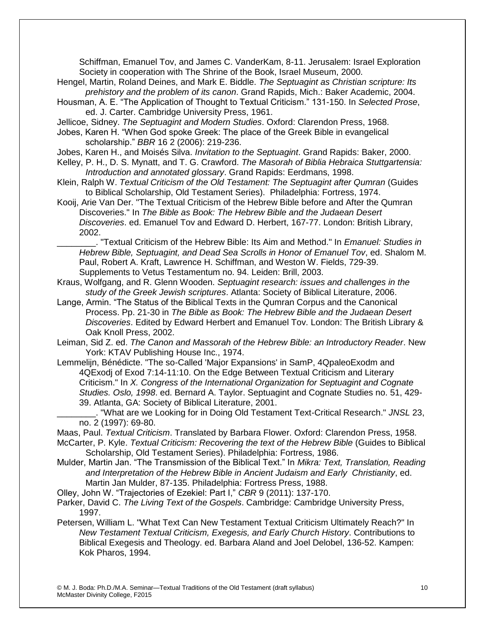Schiffman, Emanuel Tov, and James C. VanderKam, 8-11. Jerusalem: Israel Exploration Society in cooperation with The Shrine of the Book, Israel Museum, 2000.

- Hengel, Martin, Roland Deines, and Mark E. Biddle. *The Septuagint as Christian scripture: Its prehistory and the problem of its canon*. Grand Rapids, Mich.: Baker Academic, 2004.
- Housman, A. E. "The Application of Thought to Textual Criticism." 131-150. In *Selected Prose*, ed. J. Carter. Cambridge University Press, 1961.
- Jellicoe, Sidney. *The Septuagint and Modern Studies*. Oxford: Clarendon Press, 1968.
- Jobes, Karen H. "When God spoke Greek: The place of the Greek Bible in evangelical scholarship." *BBR* 16 2 (2006): 219-236.
- Jobes, Karen H., and Moisés Silva. *Invitation to the Septuagint*. Grand Rapids: Baker, 2000.
- Kelley, P. H., D. S. Mynatt, and T. G. Crawford. *The Masorah of Biblia Hebraica Stuttgartensia: Introduction and annotated glossary*. Grand Rapids: Eerdmans, 1998.
- Klein, Ralph W. *Textual Criticism of the Old Testament: The Septuagint after Qumran* (Guides to Biblical Scholarship, Old Testament Series). Philadelphia: Fortress, 1974.
- Kooij, Arie Van Der. "The Textual Criticism of the Hebrew Bible before and After the Qumran Discoveries." In *The Bible as Book: The Hebrew Bible and the Judaean Desert Discoveries*. ed. Emanuel Tov and Edward D. Herbert, 167-77. London: British Library, 2002.

\_\_\_\_\_\_\_\_. "Textual Criticism of the Hebrew Bible: Its Aim and Method." In *Emanuel: Studies in Hebrew Bible, Septuagint, and Dead Sea Scrolls in Honor of Emanuel Tov*, ed. Shalom M. Paul, Robert A. Kraft, Lawrence H. Schiffman, and Weston W. Fields, 729-39. Supplements to Vetus Testamentum no. 94. Leiden: Brill, 2003.

- Kraus, Wolfgang, and R. Glenn Wooden. *Septuagint research: issues and challenges in the study of the Greek Jewish scriptures*. Atlanta: Society of Biblical Literature, 2006.
- Lange, Armin. "The Status of the Biblical Texts in the Qumran Corpus and the Canonical Process. Pp. 21-30 in *The Bible as Book: The Hebrew Bible and the Judaean Desert Discoveries*. Edited by Edward Herbert and Emanuel Tov. London: The British Library & Oak Knoll Press, 2002.
- Leiman, Sid Z. ed. *The Canon and Massorah of the Hebrew Bible: an Introductory Reader*. New York: KTAV Publishing House Inc., 1974.
- Lemmelijn, Bénédicte. "The so-Called 'Major Expansions' in SamP, 4QpaleoExodm and 4QExodj of Exod 7:14-11:10. On the Edge Between Textual Criticism and Literary Criticism." In *X. Congress of the International Organization for Septuagint and Cognate Studies. Oslo, 1998*. ed. Bernard A. Taylor. Septuagint and Cognate Studies no. 51, 429- 39. Atlanta, GA: Society of Biblical Literature, 2001.

\_\_\_\_\_\_\_\_. "What are we Looking for in Doing Old Testament Text-Critical Research." *JNSL* 23, no. 2 (1997): 69-80.

Maas, Paul. *Textual Criticism*. Translated by Barbara Flower. Oxford: Clarendon Press, 1958.

- McCarter, P. Kyle. *Textual Criticism: Recovering the text of the Hebrew Bible* (Guides to Biblical Scholarship, Old Testament Series). Philadelphia: Fortress, 1986.
- Mulder, Martin Jan. "The Transmission of the Biblical Text." In *Mikra: Text, Translation, Reading and Interpretation of the Hebrew Bible in Ancient Judaism and Early Christianity*, ed. Martin Jan Mulder, 87-135. Philadelphia: Fortress Press, 1988.
- Olley, John W. "Trajectories of Ezekiel: Part I," *CBR* 9 (2011): 137-170.
- Parker, David C. *The Living Text of the Gospels*. Cambridge: Cambridge University Press, 1997.
- Petersen, William L. "What Text Can New Testament Textual Criticism Ultimately Reach?" In *New Testament Textual Criticism, Exegesis, and Early Church History*. Contributions to Biblical Exegesis and Theology. ed. Barbara Aland and Joel Delobel, 136-52. Kampen: Kok Pharos, 1994.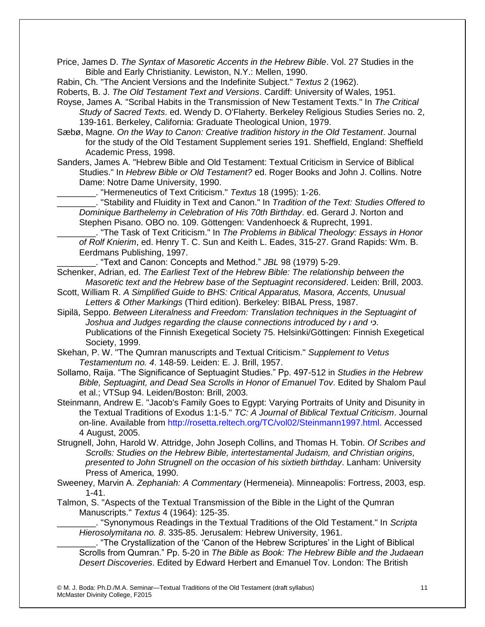Price, James D. *The Syntax of Masoretic Accents in the Hebrew Bible*. Vol. 27 Studies in the Bible and Early Christianity. Lewiston, N.Y.: Mellen, 1990.

Rabin, Ch. "The Ancient Versions and the Indefinite Subject." *Textus* 2 (1962).

Roberts, B. J. *The Old Testament Text and Versions*. Cardiff: University of Wales, 1951.

- Royse, James A. "Scribal Habits in the Transmission of New Testament Texts." In *The Critical Study of Sacred Texts*. ed. Wendy D. O'Flaherty. Berkeley Religious Studies Series no. 2, 139-161. Berkeley, California: Graduate Theological Union, 1979.
- Sæbø, Magne. *On the Way to Canon: Creative tradition history in the Old Testament*. Journal for the study of the Old Testament Supplement series 191. Sheffield, England: Sheffield Academic Press, 1998.
- Sanders, James A. "Hebrew Bible and Old Testament: Textual Criticism in Service of Biblical Studies." In *Hebrew Bible or Old Testament?* ed. Roger Books and John J. Collins. Notre Dame: Notre Dame University, 1990.

\_\_\_\_\_\_\_\_. "Hermeneutics of Text Criticism." *Textus* 18 (1995): 1-26.

\_\_\_\_\_\_\_\_. "Stability and Fluidity in Text and Canon." In *Tradition of the Text: Studies Offered to Dominique Barthelemy in Celebration of His 70th Birthday*. ed. Gerard J. Norton and Stephen Pisano. OBO no. 109. Göttengen: Vandenhoeck & Ruprecht, 1991.

\_\_\_\_\_\_\_\_. "The Task of Text Criticism." In *The Problems in Biblical Theology: Essays in Honor of Rolf Knierim*, ed. Henry T. C. Sun and Keith L. Eades, 315-27. Grand Rapids: Wm. B. Eerdmans Publishing, 1997.

\_\_\_\_\_\_\_\_. "Text and Canon: Concepts and Method." *JBL* 98 (1979) 5-29.

Schenker, Adrian, ed. *The Earliest Text of the Hebrew Bible: The relationship between the Masoretic text and the Hebrew base of the Septuagint reconsidered*. Leiden: Brill, 2003.

- Scott, William R. *A Simplified Guide to BHS: Critical Apparatus, Masora, Accents, Unusual Letters & Other Markings* (Third edition). Berkeley: BIBAL Press, 1987.
- Sipilä, Seppo. *Between Literalness and Freedom: Translation techniques in the Septuagint of Joshua and Judges regarding the clause connections introduced by ו and כי*. Publications of the Finnish Exegetical Society 75. Helsinki/Göttingen: Finnish Exegetical Society, 1999.
- Skehan, P. W. "The Qumran manuscripts and Textual Criticism." *Supplement to Vetus Testamentum no. 4*. 148-59. Leiden: E. J. Brill, 1957.
- Sollamo, Raija. "The Significance of Septuagint Studies." Pp. 497-512 in *Studies in the Hebrew Bible, Septuagint, and Dead Sea Scrolls in Honor of Emanuel Tov*. Edited by Shalom Paul et al.; VTSup 94. Leiden/Boston: Brill, 2003.

Steinmann, Andrew E. "Jacob's Family Goes to Egypt: Varying Portraits of Unity and Disunity in the Textual Traditions of Exodus 1:1-5." *TC: A Journal of Biblical Textual Criticism*. Journal on-line. Available from [http://rosetta.reltech.org/TC/vol02/Steinmann1997.html.](http://rosetta.reltech.org/TC/vol02/Steinmann1997.html) Accessed 4 August, 2005.

Strugnell, John, Harold W. Attridge, John Joseph Collins, and Thomas H. Tobin. *Of Scribes and Scrolls: Studies on the Hebrew Bible, intertestamental Judaism, and Christian origins, presented to John Strugnell on the occasion of his sixtieth birthday*. Lanham: University Press of America, 1990.

- Sweeney, Marvin A. *Zephaniah: A Commentary* (Hermeneia). Minneapolis: Fortress, 2003, esp. 1-41.
- Talmon, S. "Aspects of the Textual Transmission of the Bible in the Light of the Qumran Manuscripts." *Textus* 4 (1964): 125-35.

\_\_\_\_\_\_\_\_. "Synonymous Readings in the Textual Traditions of the Old Testament." In *Scripta Hierosolymitana no. 8*. 335-85. Jerusalem: Hebrew University, 1961.

\_\_\_\_\_\_\_\_. "The Crystallization of the 'Canon of the Hebrew Scriptures' in the Light of Biblical Scrolls from Qumran." Pp. 5-20 in *The Bible as Book: The Hebrew Bible and the Judaean Desert Discoveries*. Edited by Edward Herbert and Emanuel Tov. London: The British